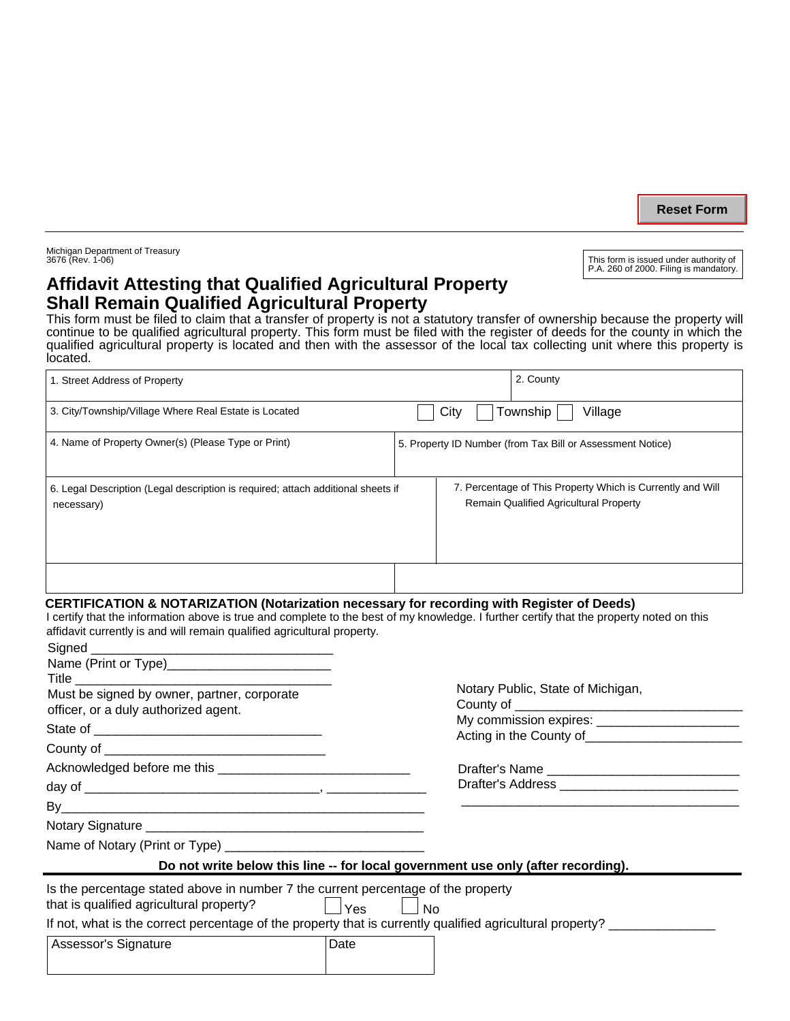**Reset Form**

This form is issued under authority of P.A. 260 of 2000. Filing is mandatory.

Michigan Department of Treasury<br>3676 (Rev. 1-06)

# **Affidavit Attesting that Qualified Agricultural Property Shall Remain Qualified Agricultural Property**

This form must be filed to claim that a transfer of property is not a statutory transfer of ownership because the property will continue to be qualified agricultural property. This form must be filed with the register of deeds for the county in which the qualified agricultural property is located and then with the assessor of the local tax collecting unit where this property is located.

| 1. Street Address of Property                                                                  |      | 2. County                                                                                                   |
|------------------------------------------------------------------------------------------------|------|-------------------------------------------------------------------------------------------------------------|
| 3. City/Township/Village Where Real Estate is Located                                          | City | Village<br>Township                                                                                         |
| 4. Name of Property Owner(s) (Please Type or Print)                                            |      | 5. Property ID Number (from Tax Bill or Assessment Notice)                                                  |
| 6. Legal Description (Legal description is required; attach additional sheets if<br>necessary) |      | 7. Percentage of This Property Which is Currently and Will<br><b>Remain Qualified Agricultural Property</b> |
|                                                                                                |      |                                                                                                             |

### **CERTIFICATION & NOTARIZATION (Notarization necessary for recording with Register of Deeds)**

I certify that the information above is true and complete to the best of my knowledge. I further certify that the property noted on this affidavit currently is and will remain qualified agricultural property.

| Name (Print or Type)______________________________                                                                                            |                                                                                  |  |  |
|-----------------------------------------------------------------------------------------------------------------------------------------------|----------------------------------------------------------------------------------|--|--|
|                                                                                                                                               | Notary Public, State of Michigan,                                                |  |  |
| Must be signed by owner, partner, corporate<br>officer, or a duly authorized agent.                                                           |                                                                                  |  |  |
|                                                                                                                                               |                                                                                  |  |  |
|                                                                                                                                               | Acting in the County of <b>Example 20</b> Acting in the County of                |  |  |
|                                                                                                                                               |                                                                                  |  |  |
|                                                                                                                                               |                                                                                  |  |  |
|                                                                                                                                               |                                                                                  |  |  |
|                                                                                                                                               |                                                                                  |  |  |
|                                                                                                                                               |                                                                                  |  |  |
|                                                                                                                                               | Do not write below this line -- for local government use only (after recording). |  |  |
| Is the percentage stated above in number 7 the current percentage of the property<br>that is qualified agricultural property?<br>l <i>Yes</i> | <b>No</b>                                                                        |  |  |
| If not, what is the correct percentage of the property that is currently qualified agricultural property?                                     |                                                                                  |  |  |
| Date<br>Assessor's Signature                                                                                                                  |                                                                                  |  |  |
|                                                                                                                                               |                                                                                  |  |  |
|                                                                                                                                               |                                                                                  |  |  |